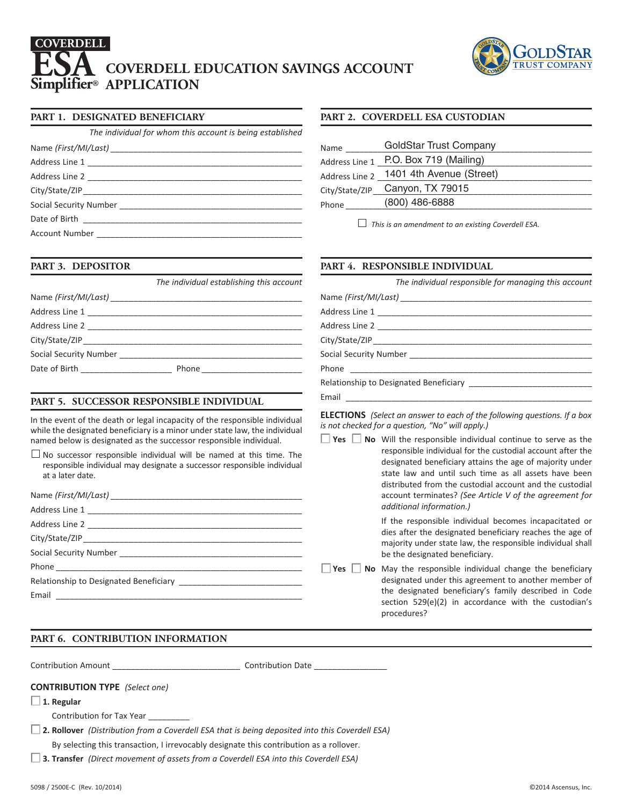# **COVERDELL EDUCATION SAVINGS ACCOUNT Simplifier® APPLICATION ESA COVERDELL**



## **PART 1. DESIGNATED BENEFICIARY**

*The individual for whom this account is being established*

#### **PART 3. DEPOSITOR**

|                                    | The individual establishing this account |
|------------------------------------|------------------------------------------|
|                                    |                                          |
|                                    |                                          |
|                                    |                                          |
|                                    |                                          |
|                                    |                                          |
| Date of Birth <b>Exercise 2008</b> |                                          |
|                                    |                                          |

## **PART 5. SUCCESSOR RESPONSIBLE INDIVIDUAL**

In the event of the death or legal incapacity of the responsible individual while the designated beneficiary is a minor under state law, the individual named below is designated as the successor responsible individual.

 $\Box$  No successor responsible individual will be named at this time. The responsible individual may designate a successor responsible individual at a later date.

|  | account terminates? (See                               |
|--|--------------------------------------------------------|
|  | additional information.)                               |
|  | If the responsible individ                             |
|  | dies after the designated<br>majority under state law, |
|  | be the designated benefic                              |
|  | $\Box$ Yes $\Box$ No May the responsible ind           |
|  | designated under this agr                              |
|  | the designated beneficia<br>section $529(e)(2)$ in acc |

# **PART 6. CONTRIBUTION INFORMATION**

Contribution Amount \_\_\_\_\_\_\_\_\_\_\_\_\_\_\_\_\_\_\_\_\_\_\_\_\_\_\_\_ Contribution Date \_\_\_\_\_\_\_\_\_\_\_\_\_\_\_\_

#### **CONTRIBUTION TYPE** *(Select one)*

- **1. Regular**
	- Contribution for Tax Year
- **2. Rollover** *(Distribution from a Coverdell ESA that is being deposited into this Coverdell ESA)* By selecting this transaction, I irrevocably designate this contribution as a rollover.
- **3. Transfer** *(Direct movement of assets from a Coverdell ESA into this Coverdell ESA)*

## **PART 2. COVERDELL ESA CUSTODIAN**

| Name           | <b>GoldStar Trust Company</b> |
|----------------|-------------------------------|
| Address Line 1 | P.O. Box 719 (Mailing)        |
| Address Line 2 | 1401 4th Avenue (Street)      |
| City/State/ZIP | Canyon, TX 79015              |
| Phone          | (800) 486-6888                |

*This is an amendment to an existing Coverdell ESA.*

#### **PART 4. RESPONSIBLE INDIVIDUAL**

| The individual responsible for managing this account |
|------------------------------------------------------|
|                                                      |
|                                                      |
|                                                      |
|                                                      |
|                                                      |
|                                                      |
|                                                      |
|                                                      |

**ELECTIONS** *(Select an answer to each of the following questions. If a box is not checked for a question, "No" will apply.)*

**Yes No** Will the responsible individual continue to serve as the responsible individual for the custodial account after the designated beneficiary attains the age of majority under state law and until such time as all assets have been distributed from the custodial account and the custodial Article V of the agreement for

> dual becomes incapacitated or beneficiary reaches the age of the responsible individual shall ciary.

**Veneficial** desiming the beneficiary reement to another member of ary's family described in Code cordance with the custodian's procedures?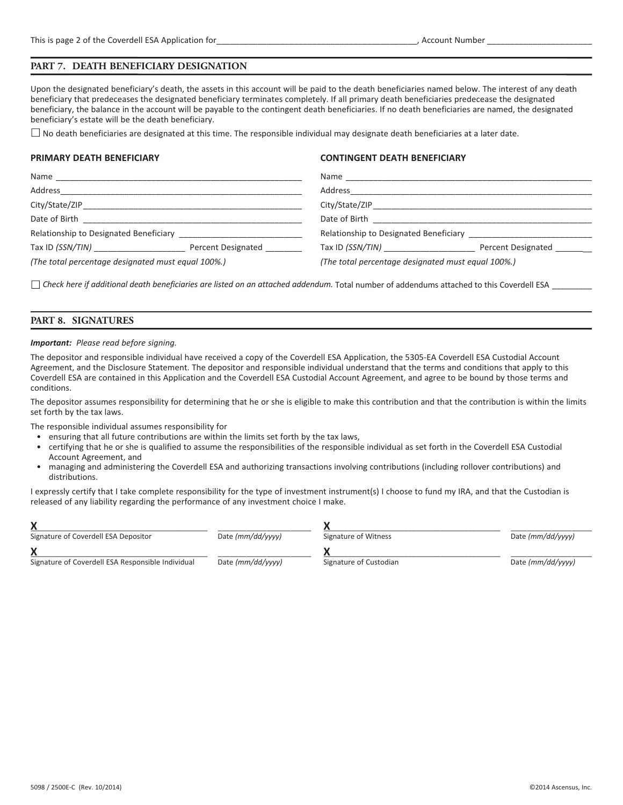#### **PART 7. DEATH BENEFICIARY DESIGNATION**

Upon the designated beneficiary's death, the assets in this account will be paid to the death beneficiaries named below. The interest of any death beneficiary that predeceases the designated beneficiary terminates completely. If all primary death beneficiaries predecease the designated beneficiary, the balance in the account will be payable to the contingent death beneficiaries. If no death beneficiaries are named, the designated beneficiary's estate will be the death beneficiary.

 $\Box$  No death beneficiaries are designated at this time. The responsible individual may designate death beneficiaries at a later date.

#### **PRIMARY DEATH BENEFICIARY**

#### **CONTINGENT DEATH BENEFICIARY**

| Name                                                                                                                                   |                           |                                                    |                    |
|----------------------------------------------------------------------------------------------------------------------------------------|---------------------------|----------------------------------------------------|--------------------|
| Address                                                                                                                                |                           | Address                                            |                    |
|                                                                                                                                        |                           |                                                    |                    |
| Date of Birth<br><u> 1980 - Jan Berlin, mars eta bainar eta bainar eta baina eta baina eta baina eta baina eta baina eta baina eta</u> |                           |                                                    |                    |
|                                                                                                                                        |                           | Relationship to Designated Beneficiary             |                    |
| Tax ID (SSN/TIN) _____________________                                                                                                 | <b>Percent Designated</b> | Tax ID (SSN/TIN)                                   | Percent Designated |
| (The total percentage designated must equal 100%.)                                                                                     |                           | (The total percentage designated must equal 100%.) |                    |

*Check here if additional death beneficiaries are listed on an attached addendum.* Total number of addendums attached to this Coverdell ESA \_\_\_\_\_\_\_\_\_

#### **PART 8. SIGNATURES**

#### *Important: Please read before signing.*

The depositor and responsible individual have received a copy of the Coverdell ESA Application, the 5305‐EA Coverdell ESA Custodial Account Agreement, and the Disclosure Statement. The depositor and responsible individual understand that the terms and conditions that apply to this Coverdell ESA are contained in this Application and the Coverdell ESA Custodial Account Agreement, and agree to be bound by those terms and conditions.

The depositor assumes responsibility for determining that he or she is eligible to make this contribution and that the contribution is within the limits set forth by the tax laws.

The responsible individual assumes responsibility for

- ensuring that all future contributions are within the limits set forth by the tax laws,
- certifying that he or she is qualified to assume the responsibilities of the responsible individual as set forth in the Coverdell ESA Custodial Account Agreement, and
- managing and administering the Coverdell ESA and authorizing transactions involving contributions (including rollover contributions) and distributions.

I expressly certify that I take complete responsibility for the type of investment instrument(s) I choose to fund my IRA, and that the Custodian is released of any liability regarding the performance of any investment choice I make.

| Signature of Coverdell ESA Depositor              | Date (mm/dd/yyyy) | Signature of Witness   | Date (mm/dd/yyyy) |
|---------------------------------------------------|-------------------|------------------------|-------------------|
|                                                   |                   |                        |                   |
| Signature of Coverdell ESA Responsible Individual | Date (mm/dd/yyyy) | Signature of Custodian | Date (mm/dd/yyyy) |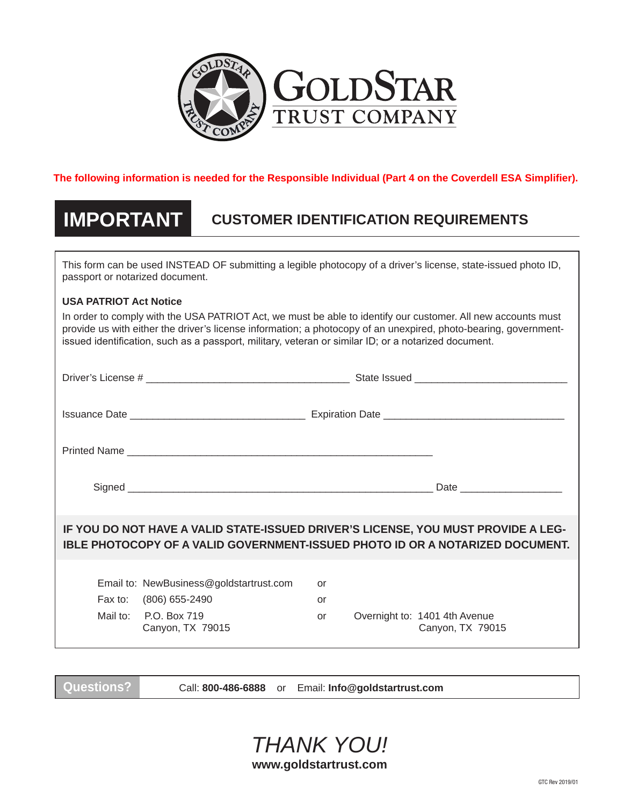

# **The following information is needed for the Responsible Individual (Part 4 on the Coverdell ESA Simplifier).**

# **IMPORTANT CUSTOMER IDENTIFICATION REQUIREMENTS**

This form can be used INSTEAD OF submitting a legible photocopy of a driver's license, state-issued photo ID, passport or notarized document.

# **USA PATRIOT Act Notice**

In order to comply with the USA PATRIOT Act, we must be able to identify our customer. All new accounts must provide us with either the driver's license information; a photocopy of an unexpired, photo-bearing, governmentissued identification, such as a passport, military, veteran or similar ID; or a notarized document.

| IF YOU DO NOT HAVE A VALID STATE-ISSUED DRIVER'S LICENSE, YOU MUST PROVIDE A LEG-<br><b>IBLE PHOTOCOPY OF A VALID GOVERNMENT-ISSUED PHOTO ID OR A NOTARIZED DOCUMENT.</b> |                |                                                   |
|---------------------------------------------------------------------------------------------------------------------------------------------------------------------------|----------------|---------------------------------------------------|
| Email to: NewBusiness@goldstartrust.com<br>Fax to: (806) 655-2490<br>Mail to: P.O. Box 719<br>Canyon, TX 79015                                                            | or<br>or<br>or | Overnight to: 1401 4th Avenue<br>Canyon, TX 79015 |

**Questions?** Call: **800-486-6888** or Email: **Info@goldstartrust.com**

*THANK YOU!*

**www.goldstartrust.com**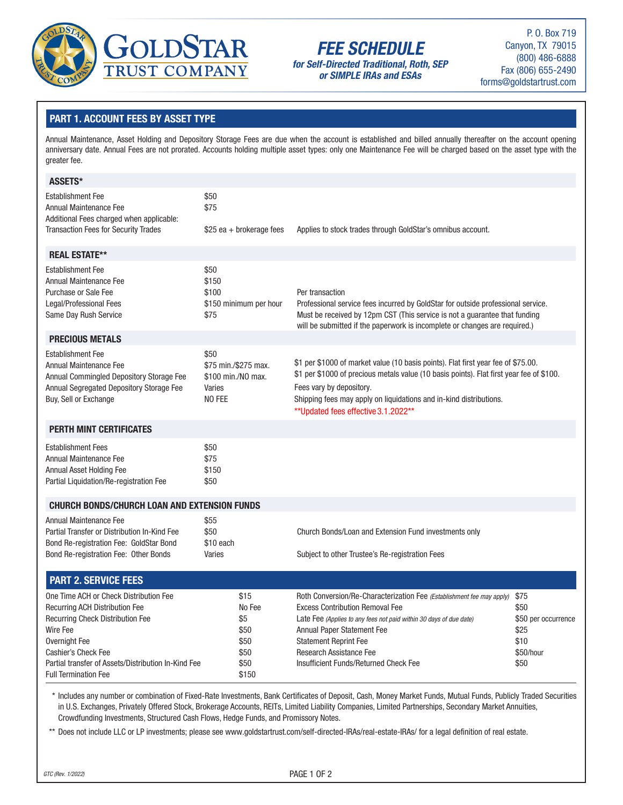

# **FEE SCHEDULE**

**for Self-Directed Traditional, Roth, SEP or SIMPLE IRAs and ESAs**

P. O. Box 719 Canyon, TX 79015 (800) 486-6888 Fax (806) 655-2490 forms@goldstartrust.com

# **PART 1. ACCOUNT FEES BY ASSET TYPE**

Annual Maintenance, Asset Holding and Depository Storage Fees are due when the account is established and billed annually thereafter on the account opening anniversary date. Annual Fees are not prorated. Accounts holding multiple asset types: only one Maintenance Fee will be charged based on the asset type with the greater fee.

| ASSETS*                                                                                                                                                                                                                                                              |                                                                        |                                                                                                                                                                                                                                                                                                                                |                                                                          |
|----------------------------------------------------------------------------------------------------------------------------------------------------------------------------------------------------------------------------------------------------------------------|------------------------------------------------------------------------|--------------------------------------------------------------------------------------------------------------------------------------------------------------------------------------------------------------------------------------------------------------------------------------------------------------------------------|--------------------------------------------------------------------------|
| <b>Establishment Fee</b><br>Annual Maintenance Fee<br>Additional Fees charged when applicable:                                                                                                                                                                       | \$50<br>\$75                                                           |                                                                                                                                                                                                                                                                                                                                |                                                                          |
| <b>Transaction Fees for Security Trades</b>                                                                                                                                                                                                                          | $$25$ ea + brokerage fees                                              | Applies to stock trades through GoldStar's omnibus account.                                                                                                                                                                                                                                                                    |                                                                          |
| <b>REAL ESTATE**</b>                                                                                                                                                                                                                                                 |                                                                        |                                                                                                                                                                                                                                                                                                                                |                                                                          |
| <b>Establishment Fee</b><br>Annual Maintenance Fee<br>Purchase or Sale Fee<br>Legal/Professional Fees<br>Same Day Rush Service                                                                                                                                       | \$50<br>\$150<br>\$100<br>\$150 minimum per hour<br>\$75               | Per transaction<br>Professional service fees incurred by GoldStar for outside professional service.<br>Must be received by 12pm CST (This service is not a guarantee that funding<br>will be submitted if the paperwork is incomplete or changes are required.)                                                                |                                                                          |
| <b>PRECIOUS METALS</b>                                                                                                                                                                                                                                               |                                                                        |                                                                                                                                                                                                                                                                                                                                |                                                                          |
| <b>Establishment Fee</b><br>Annual Maintenance Fee<br>Annual Commingled Depository Storage Fee<br>Annual Segregated Depository Storage Fee<br>Buy, Sell or Exchange                                                                                                  | \$50<br>\$75 min./\$275 max.<br>\$100 min./NO max.<br>Varies<br>NO FEE | \$1 per \$1000 of market value (10 basis points). Flat first year fee of \$75.00.<br>\$1 per \$1000 of precious metals value (10 basis points). Flat first year fee of \$100.<br>Fees vary by depository.<br>Shipping fees may apply on liquidations and in-kind distributions.<br>** Updated fees effective 3.1.2022**        |                                                                          |
| <b>PERTH MINT CERTIFICATES</b>                                                                                                                                                                                                                                       |                                                                        |                                                                                                                                                                                                                                                                                                                                |                                                                          |
| <b>Establishment Fees</b><br>Annual Maintenance Fee<br>Annual Asset Holding Fee<br>Partial Liquidation/Re-registration Fee                                                                                                                                           | \$50<br>\$75<br>\$150<br>\$50                                          |                                                                                                                                                                                                                                                                                                                                |                                                                          |
| <b>CHURCH BONDS/CHURCH LOAN AND EXTENSION FUNDS</b>                                                                                                                                                                                                                  |                                                                        |                                                                                                                                                                                                                                                                                                                                |                                                                          |
| Annual Maintenance Fee<br>Partial Transfer or Distribution In-Kind Fee<br>Bond Re-registration Fee: GoldStar Bond<br>Bond Re-registration Fee: Other Bonds                                                                                                           | \$55<br>\$50<br>\$10 each<br>Varies                                    | Church Bonds/Loan and Extension Fund investments only<br>Subject to other Trustee's Re-registration Fees                                                                                                                                                                                                                       |                                                                          |
| <b>PART 2. SERVICE FEES</b>                                                                                                                                                                                                                                          |                                                                        |                                                                                                                                                                                                                                                                                                                                |                                                                          |
| One Time ACH or Check Distribution Fee<br><b>Recurring ACH Distribution Fee</b><br><b>Recurring Check Distribution Fee</b><br>Wire Fee<br>Overnight Fee<br>Cashier's Check Fee<br>Partial transfer of Assets/Distribution In-Kind Fee<br><b>Full Termination Fee</b> | \$15<br>No Fee<br>\$5<br>\$50<br>\$50<br>\$50<br>\$50<br>\$150         | Roth Conversion/Re-Characterization Fee (Establishment fee may apply)<br><b>Excess Contribution Removal Fee</b><br>Late Fee (Applies to any fees not paid within 30 days of due date)<br>Annual Paper Statement Fee<br><b>Statement Reprint Fee</b><br><b>Research Assistance Fee</b><br>Insufficient Funds/Returned Check Fee | \$75<br>\$50<br>\$50 per occurrence<br>\$25<br>\$10<br>\$50/hour<br>\$50 |

\*\*\* Includes any number or combination of Fixed-Rate Investments, Bank Certificates of Deposit, Cash, Money Market Funds, Mutual Funds, Publicly Traded Securities in U.S. Exchanges, Privately Offered Stock, Brokerage Accounts, REITs, Limited Liability Companies, Limited Partnerships, Secondary Market Annuities, Crowdfunding Investments, Structured Cash Flows, Hedge Funds, and Promissory Notes.

\*\* Does not include LLC or LP investments; please see www.goldstartrust.com/self-directed-IRAs/real-estate-IRAs/ for a legal definition of real estate.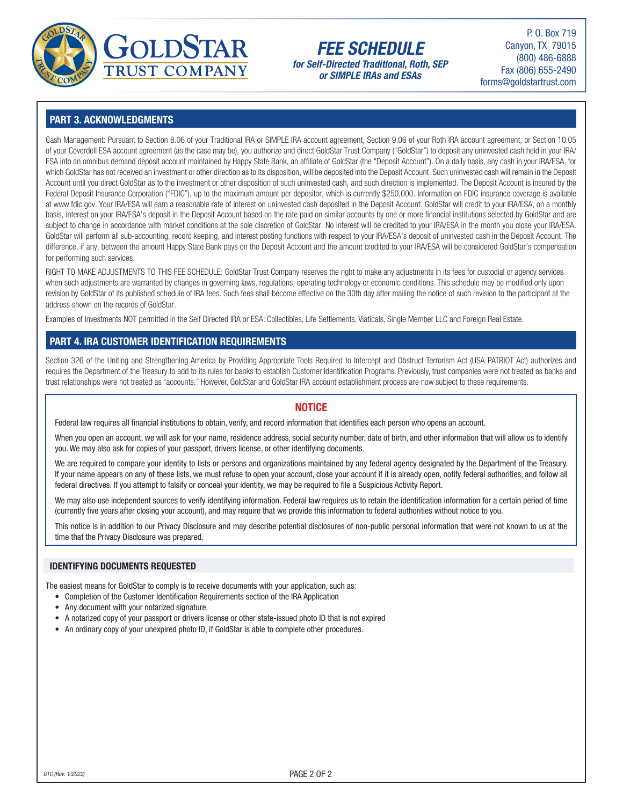

# **FEE SCHEDULE for Self-Directed Traditional, Roth, SEP**

**or SIMPLE IRAs and ESAs**

P. O. Box 719 Canyon, TX 79015 (800) 486-6888 Fax (806) 655-2490 forms@goldstartrust.com

# **PART 3. ACKNOWLEDGMENTS**

Cash Management: Pursuant to Section 8.06 of your Traditional IRA or SIMPLE IRA account agreement, Section 9.06 of your Roth IRA account agreement, or Section 10.05 of your Coverdell ESA account agreement (as the case may be), you authorize and direct GoldStar Trust Company ("GoldStar") to deposit any uninvested cash held in your IRA/ ESA into an omnibus demand deposit account maintained by Happy State Bank, an affiliate of GoldStar (the "Deposit Account"). On a daily basis, any cash in your IRA/ESA, for which GoldStar has not received an investment or other direction as to its disposition, will be deposited into the Deposit Account. Such uninvested cash will remain in the Deposit Account until you direct GoldStar as to the investment or other disposition of such uninvested cash, and such direction is implemented. The Deposit Account is insured by the Federal Deposit Insurance Corporation ("FDIC"), up to the maximum amount per depositor, which is currently \$250,000. Information on FDIC insurance coverage is available at www.fdic.gov. Your IRA/ESA will earn a reasonable rate of interest on uninvested cash deposited in the Deposit Account. GoldStar will credit to your IRA/ESA, on a monthly basis, interest on your IRA/ESA's deposit in the Deposit Account based on the rate paid on similar accounts by one or more financial institutions selected by GoldStar and are subject to change in accordance with market conditions at the sole discretion of GoldStar. No interest will be credited to your IRA/ESA in the month you close your IRA/ESA. GoldStar will perform all sub-accounting, record keeping, and interest posting functions with respect to your IRA/ESA's deposit of uninvested cash in the Deposit Account. The difference, if any, between the amount Happy State Bank pays on the Deposit Account and the amount credited to your IRA/ESA will be considered GoldStar's compensation for performing such services.

RIGHT TO MAKE ADJUSTMENTS TO THIS FEE SCHEDULE: GoldStar Trust Company reserves the right to make any adjustments in its fees for custodial or agency services when such adjustments are warranted by changes in governing laws, regulations, operating technology or economic conditions. This schedule may be modified only upon revision by GoldStar of its published schedule of IRA fees. Such fees shall become effective on the 30th day after mailing the notice of such revision to the participant at the address shown on the records of GoldStar.

Examples of Investments NOT permitted in the Self Directed IRA or ESA: Collectibles, Life Settlements, Viaticals, Single Member LLC and Foreign Real Estate.

# **PART 4. IRA CUSTOMER IDENTIFICATION REQUIREMENTS**

Section 326 of the Uniting and Strengthening America by Providing Appropriate Tools Required to Intercept and Obstruct Terrorism Act (USA PATRIOT Act) authorizes and requires the Department of the Treasury to add to its rules for banks to establish Customer Identification Programs. Previously, trust companies were not treated as banks and trust relationships were not treated as "accounts." However, GoldStar and GoldStar IRA account establishment process are now subject to these requirements.

# **NOTICE**

Federal law requires all financial institutions to obtain, verify, and record information that identifies each person who opens an account.

When you open an account, we will ask for your name, residence address, social security number, date of birth, and other information that will allow us to identify you. We may also ask for copies of your passport, drivers license, or other identifying documents.

We are required to compare your identity to lists or persons and organizations maintained by any federal agency designated by the Department of the Treasury. If your name appears on any of these lists, we must refuse to open your account, close your account if it is already open, notify federal authorities, and follow all federal directives. If you attempt to falsify or conceal your identity, we may be required to file a Suspicious Activity Report.

We may also use independent sources to verify identifying information. Federal law requires us to retain the identification information for a certain period of time (currently five years after closing your account), and may require that we provide this information to federal authorities without notice to you.

This notice is in addition to our Privacy Disclosure and may describe potential disclosures of non-public personal information that were not known to us at the time that the Privacy Disclosure was prepared.

#### **IDENTIFYING DOCUMENTS REQUESTED**

The easiest means for GoldStar to comply is to receive documents with your application, such as:

- Completion of the Customer Identification Requirements section of the IRA Application
- Any document with your notarized signature
- A notarized copy of your passport or drivers license or other state-issued photo ID that is not expired
- An ordinary copy of your unexpired photo ID, if GoldStar is able to complete other procedures.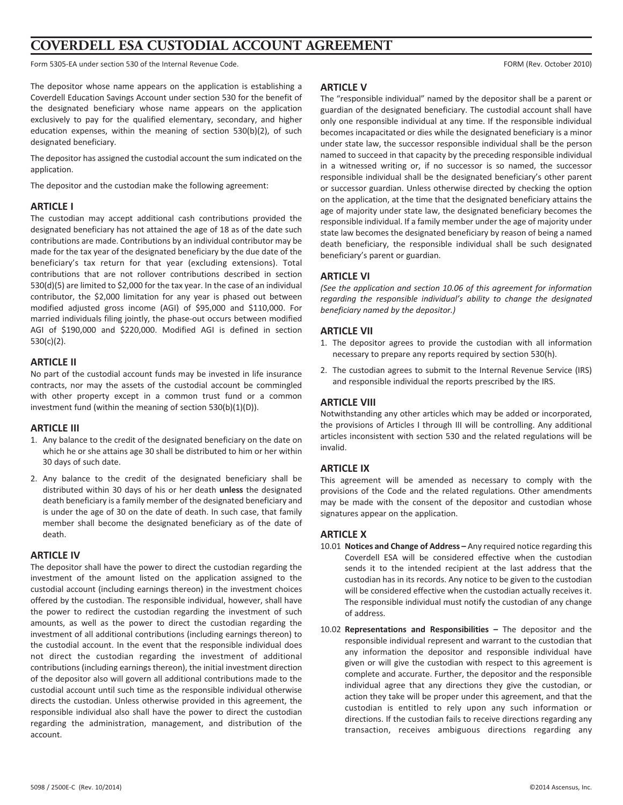# **COVERDELL ESA CUSTODIAL ACCOUNT AGREEMENT**

Form 5305‐EA under section 530 of the Internal Revenue Code. FORM (Rev. October 2010)

The depositor whose name appears on the application is establishing a Coverdell Education Savings Account under section 530 for the benefit of the designated beneficiary whose name appears on the application exclusively to pay for the qualified elementary, secondary, and higher education expenses, within the meaning of section 530(b)(2), of such designated beneficiary.

The depositor has assigned the custodial account the sum indicated on the application.

The depositor and the custodian make the following agreement:

#### **ARTICLE I**

The custodian may accept additional cash contributions provided the designated beneficiary has not attained the age of 18 as of the date such contributions are made. Contributions by an individual contributor may be made for the tax year of the designated beneficiary by the due date of the beneficiary's tax return for that year (excluding extensions). Total contributions that are not rollover contributions described in section 530(d)(5) are limited to \$2,000 for the tax year. In the case of an individual contributor, the \$2,000 limitation for any year is phased out between modified adjusted gross income (AGI) of \$95,000 and \$110,000. For married individuals filing jointly, the phase‐out occurs between modified AGI of \$190,000 and \$220,000. Modified AGI is defined in section 530(c)(2).

#### **ARTICLE II**

No part of the custodial account funds may be invested in life insurance contracts, nor may the assets of the custodial account be commingled with other property except in a common trust fund or a common investment fund (within the meaning of section 530(b)(1)(D)).

#### **ARTICLE III**

- 1. Any balance to the credit of the designated beneficiary on the date on which he or she attains age 30 shall be distributed to him or her within 30 days of such date.
- 2. Any balance to the credit of the designated beneficiary shall be distributed within 30 days of his or her death **unless** the designated death beneficiary is a family member of the designated beneficiary and is under the age of 30 on the date of death. In such case, that family member shall become the designated beneficiary as of the date of death.

#### **ARTICLE IV**

The depositor shall have the power to direct the custodian regarding the investment of the amount listed on the application assigned to the custodial account (including earnings thereon) in the investment choices offered by the custodian. The responsible individual, however, shall have the power to redirect the custodian regarding the investment of such amounts, as well as the power to direct the custodian regarding the investment of all additional contributions (including earnings thereon) to the custodial account. In the event that the responsible individual does not direct the custodian regarding the investment of additional contributions (including earnings thereon), the initial investment direction of the depositor also will govern all additional contributions made to the custodial account until such time as the responsible individual otherwise directs the custodian. Unless otherwise provided in this agreement, the responsible individual also shall have the power to direct the custodian regarding the administration, management, and distribution of the account.

#### **ARTICLE V**

The "responsible individual" named by the depositor shall be a parent or guardian of the designated beneficiary. The custodial account shall have only one responsible individual at any time. If the responsible individual becomes incapacitated or dies while the designated beneficiary is a minor under state law, the successor responsible individual shall be the person named to succeed in that capacity by the preceding responsible individual in a witnessed writing or, if no successor is so named, the successor responsible individual shall be the designated beneficiary's other parent or successor guardian. Unless otherwise directed by checking the option on the application, at the time that the designated beneficiary attains the age of majority under state law, the designated beneficiary becomes the responsible individual. If a family member under the age of majority under state law becomes the designated beneficiary by reason of being a named death beneficiary, the responsible individual shall be such designated beneficiary's parent or guardian.

## **ARTICLE VI**

*(See the application and section 10.06 of this agreement for information regarding the responsible individual's ability to change the designated beneficiary named by the depositor.)*

#### **ARTICLE VII**

- 1. The depositor agrees to provide the custodian with all information necessary to prepare any reports required by section 530(h).
- 2. The custodian agrees to submit to the Internal Revenue Service (IRS) and responsible individual the reports prescribed by the IRS.

#### **ARTICLE VIII**

Notwithstanding any other articles which may be added or incorporated, the provisions of Articles I through III will be controlling. Any additional articles inconsistent with section 530 and the related regulations will be invalid.

### **ARTICLE IX**

This agreement will be amended as necessary to comply with the provisions of the Code and the related regulations. Other amendments may be made with the consent of the depositor and custodian whose signatures appear on the application.

#### **ARTICLE X**

- 10.01 **Notices and Change of Address –** Any required notice regarding this Coverdell ESA will be considered effective when the custodian sends it to the intended recipient at the last address that the custodian has in its records. Any notice to be given to the custodian will be considered effective when the custodian actually receives it. The responsible individual must notify the custodian of any change of address.
- 10.02 **Representations and Responsibilities –** The depositor and the responsible individual represent and warrant to the custodian that any information the depositor and responsible individual have given or will give the custodian with respect to this agreement is complete and accurate. Further, the depositor and the responsible individual agree that any directions they give the custodian, or action they take will be proper under this agreement, and that the custodian is entitled to rely upon any such information or directions. If the custodian fails to receive directions regarding any transaction, receives ambiguous directions regarding any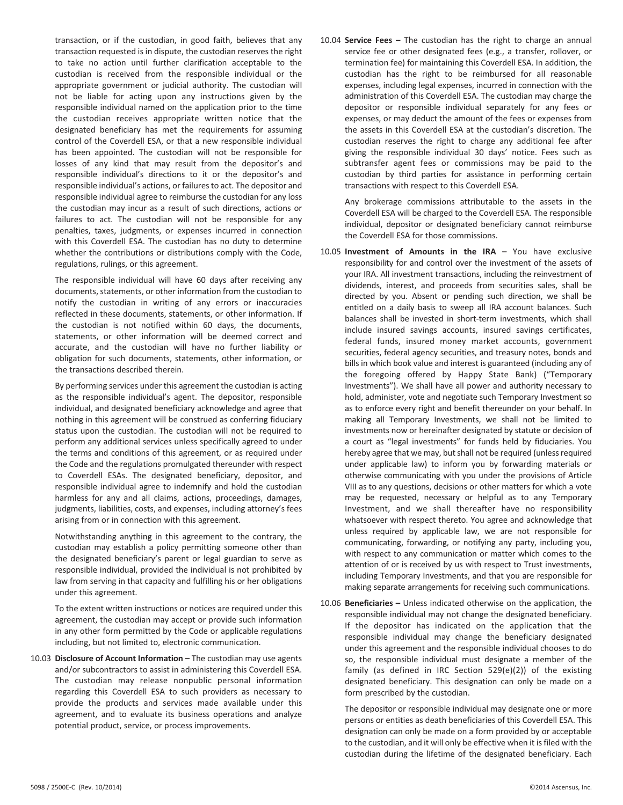transaction, or if the custodian, in good faith, believes that any transaction requested is in dispute, the custodian reserves the right to take no action until further clarification acceptable to the custodian is received from the responsible individual or the appropriate government or judicial authority. The custodian will not be liable for acting upon any instructions given by the responsible individual named on the application prior to the time the custodian receives appropriate written notice that the designated beneficiary has met the requirements for assuming control of the Coverdell ESA, or that a new responsible individual has been appointed. The custodian will not be responsible for losses of any kind that may result from the depositor's and responsible individual's directions to it or the depositor's and responsible individual's actions, or failures to act. The depositor and responsible individual agree to reimburse the custodian for any loss the custodian may incur as a result of such directions, actions or failures to act. The custodian will not be responsible for any penalties, taxes, judgments, or expenses incurred in connection with this Coverdell ESA. The custodian has no duty to determine whether the contributions or distributions comply with the Code, regulations, rulings, or this agreement.

The responsible individual will have 60 days after receiving any documents, statements, or other information from the custodian to notify the custodian in writing of any errors or inaccuracies reflected in these documents, statements, or other information. If the custodian is not notified within 60 days, the documents, statements, or other information will be deemed correct and accurate, and the custodian will have no further liability or obligation for such documents, statements, other information, or the transactions described therein.

By performing services under this agreement the custodian is acting as the responsible individual's agent. The depositor, responsible individual, and designated beneficiary acknowledge and agree that nothing in this agreement will be construed as conferring fiduciary status upon the custodian. The custodian will not be required to perform any additional services unless specifically agreed to under the terms and conditions of this agreement, or as required under the Code and the regulations promulgated thereunder with respect to Coverdell ESAs. The designated beneficiary, depositor, and responsible individual agree to indemnify and hold the custodian harmless for any and all claims, actions, proceedings, damages, judgments, liabilities, costs, and expenses, including attorney's fees arising from or in connection with this agreement.

Notwithstanding anything in this agreement to the contrary, the custodian may establish a policy permitting someone other than the designated beneficiary's parent or legal guardian to serve as responsible individual, provided the individual is not prohibited by law from serving in that capacity and fulfilling his or her obligations under this agreement.

To the extent written instructions or notices are required under this agreement, the custodian may accept or provide such information in any other form permitted by the Code or applicable regulations including, but not limited to, electronic communication.

10.03 **Disclosure of Account Information –** The custodian may use agents and/or subcontractors to assist in administering this Coverdell ESA. The custodian may release nonpublic personal information regarding this Coverdell ESA to such providers as necessary to provide the products and services made available under this agreement, and to evaluate its business operations and analyze potential product, service, or process improvements.

10.04 **Service Fees –** The custodian has the right to charge an annual service fee or other designated fees (e.g., a transfer, rollover, or termination fee) for maintaining this Coverdell ESA. In addition, the custodian has the right to be reimbursed for all reasonable expenses, including legal expenses, incurred in connection with the administration of this Coverdell ESA. The custodian may charge the depositor or responsible individual separately for any fees or expenses, or may deduct the amount of the fees or expenses from the assets in this Coverdell ESA at the custodian's discretion. The custodian reserves the right to charge any additional fee after giving the responsible individual 30 days' notice. Fees such as subtransfer agent fees or commissions may be paid to the custodian by third parties for assistance in performing certain transactions with respect to this Coverdell ESA.

Any brokerage commissions attributable to the assets in the Coverdell ESA will be charged to the Coverdell ESA. The responsible individual, depositor or designated beneficiary cannot reimburse the Coverdell ESA for those commissions.

- 10.05 **Investment of Amounts in the IRA –** You have exclusive responsibility for and control over the investment of the assets of your IRA. All investment transactions, including the reinvestment of dividends, interest, and proceeds from securities sales, shall be directed by you. Absent or pending such direction, we shall be entitled on a daily basis to sweep all IRA account balances. Such balances shall be invested in short‐term investments, which shall include insured savings accounts, insured savings certificates, federal funds, insured money market accounts, government securities, federal agency securities, and treasury notes, bonds and bills in which book value and interest is guaranteed (including any of the foregoing offered by Happy State Bank) ("Temporary Investments"). We shall have all power and authority necessary to hold, administer, vote and negotiate such Temporary Investment so as to enforce every right and benefit thereunder on your behalf. In making all Temporary Investments, we shall not be limited to investments now or hereinafter designated by statute or decision of a court as "legal investments" for funds held by fiduciaries. You hereby agree that we may, but shall not be required (unless required under applicable law) to inform you by forwarding materials or otherwise communicating with you under the provisions of Article VIII as to any questions, decisions or other matters for which a vote may be requested, necessary or helpful as to any Temporary Investment, and we shall thereafter have no responsibility whatsoever with respect thereto. You agree and acknowledge that unless required by applicable law, we are not responsible for communicating, forwarding, or notifying any party, including you, with respect to any communication or matter which comes to the attention of or is received by us with respect to Trust investments, including Temporary Investments, and that you are responsible for making separate arrangements for receiving such communications.
- 10.06 **Beneficiaries –** Unless indicated otherwise on the application, the responsible individual may not change the designated beneficiary. If the depositor has indicated on the application that the responsible individual may change the beneficiary designated under this agreement and the responsible individual chooses to do so, the responsible individual must designate a member of the family (as defined in IRC Section 529(e)(2)) of the existing designated beneficiary. This designation can only be made on a form prescribed by the custodian.

The depositor or responsible individual may designate one or more persons or entities as death beneficiaries of this Coverdell ESA. This designation can only be made on a form provided by or acceptable to the custodian, and it will only be effective when it is filed with the custodian during the lifetime of the designated beneficiary. Each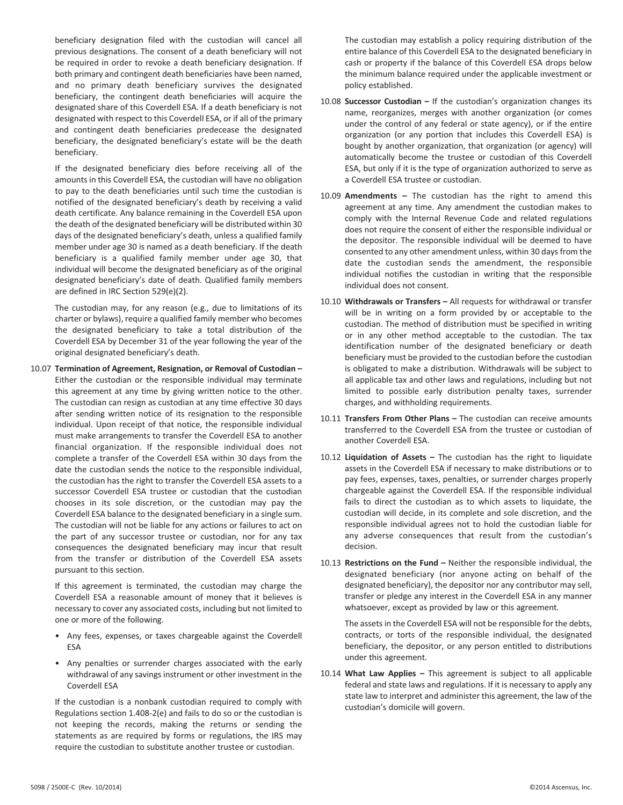beneficiary designation filed with the custodian will cancel all previous designations. The consent of a death beneficiary will not be required in order to revoke a death beneficiary designation. If both primary and contingent death beneficiaries have been named, and no primary death beneficiary survives the designated beneficiary, the contingent death beneficiaries will acquire the designated share of this Coverdell ESA. If a death beneficiary is not designated with respect to this Coverdell ESA, or if all of the primary and contingent death beneficiaries predecease the designated beneficiary, the designated beneficiary's estate will be the death beneficiary.

If the designated beneficiary dies before receiving all of the amounts in this Coverdell ESA, the custodian will have no obligation to pay to the death beneficiaries until such time the custodian is notified of the designated beneficiary's death by receiving a valid death certificate. Any balance remaining in the Coverdell ESA upon the death of the designated beneficiary will be distributed within 30 days of the designated beneficiary's death, unless a qualified family member under age 30 is named as a death beneficiary. If the death beneficiary is a qualified family member under age 30, that individual will become the designated beneficiary as of the original designated beneficiary's date of death. Qualified family members are defined in IRC Section 529(e)(2).

The custodian may, for any reason (e.g., due to limitations of its charter or bylaws), require a qualified family member who becomes the designated beneficiary to take a total distribution of the Coverdell ESA by December 31 of the year following the year of the original designated beneficiary's death.

10.07 **Termination of Agreement, Resignation, or Removal of Custodian –** Either the custodian or the responsible individual may terminate this agreement at any time by giving written notice to the other. The custodian can resign as custodian at any time effective 30 days after sending written notice of its resignation to the responsible individual. Upon receipt of that notice, the responsible individual must make arrangements to transfer the Coverdell ESA to another financial organization. If the responsible individual does not complete a transfer of the Coverdell ESA within 30 days from the date the custodian sends the notice to the responsible individual, the custodian has the right to transfer the Coverdell ESA assets to a successor Coverdell ESA trustee or custodian that the custodian chooses in its sole discretion, or the custodian may pay the Coverdell ESA balance to the designated beneficiary in a single sum. The custodian will not be liable for any actions or failures to act on the part of any successor trustee or custodian, nor for any tax consequences the designated beneficiary may incur that result from the transfer or distribution of the Coverdell ESA assets pursuant to this section.

If this agreement is terminated, the custodian may charge the Coverdell ESA a reasonable amount of money that it believes is necessary to cover any associated costs, including but not limited to one or more of the following.

- Any fees, expenses, or taxes chargeable against the Coverdell ESA
- Any penalties or surrender charges associated with the early withdrawal of any savings instrument or other investment in the Coverdell ESA

If the custodian is a nonbank custodian required to comply with Regulations section 1.408‐2(e) and fails to do so or the custodian is not keeping the records, making the returns or sending the statements as are required by forms or regulations, the IRS may require the custodian to substitute another trustee or custodian.

The custodian may establish a policy requiring distribution of the entire balance of this Coverdell ESA to the designated beneficiary in cash or property if the balance of this Coverdell ESA drops below the minimum balance required under the applicable investment or policy established.

- 10.08 **Successor Custodian –** If the custodian's organization changes its name, reorganizes, merges with another organization (or comes under the control of any federal or state agency), or if the entire organization (or any portion that includes this Coverdell ESA) is bought by another organization, that organization (or agency) will automatically become the trustee or custodian of this Coverdell ESA, but only if it is the type of organization authorized to serve as a Coverdell ESA trustee or custodian.
- 10.09 **Amendments –** The custodian has the right to amend this agreement at any time. Any amendment the custodian makes to comply with the Internal Revenue Code and related regulations does not require the consent of either the responsible individual or the depositor. The responsible individual will be deemed to have consented to any other amendment unless, within 30 days from the date the custodian sends the amendment, the responsible individual notifies the custodian in writing that the responsible individual does not consent.
- 10.10 **Withdrawals or Transfers –** All requests for withdrawal or transfer will be in writing on a form provided by or acceptable to the custodian. The method of distribution must be specified in writing or in any other method acceptable to the custodian. The tax identification number of the designated beneficiary or death beneficiary must be provided to the custodian before the custodian is obligated to make a distribution. Withdrawals will be subject to all applicable tax and other laws and regulations, including but not limited to possible early distribution penalty taxes, surrender charges, and withholding requirements.
- 10.11 **Transfers From Other Plans –** The custodian can receive amounts transferred to the Coverdell ESA from the trustee or custodian of another Coverdell ESA.
- 10.12 **Liquidation of Assets –** The custodian has the right to liquidate assets in the Coverdell ESA if necessary to make distributions or to pay fees, expenses, taxes, penalties, or surrender charges properly chargeable against the Coverdell ESA. If the responsible individual fails to direct the custodian as to which assets to liquidate, the custodian will decide, in its complete and sole discretion, and the responsible individual agrees not to hold the custodian liable for any adverse consequences that result from the custodian's decision.
- 10.13 **Restrictions on the Fund –** Neither the responsible individual, the designated beneficiary (nor anyone acting on behalf of the designated beneficiary), the depositor nor any contributor may sell, transfer or pledge any interest in the Coverdell ESA in any manner whatsoever, except as provided by law or this agreement.

The assets in the Coverdell ESA will not be responsible for the debts, contracts, or torts of the responsible individual, the designated beneficiary, the depositor, or any person entitled to distributions under this agreement.

10.14 **What Law Applies –** This agreement is subject to all applicable federal and state laws and regulations. If it is necessary to apply any state law to interpret and administer this agreement, the law of the custodian's domicile will govern.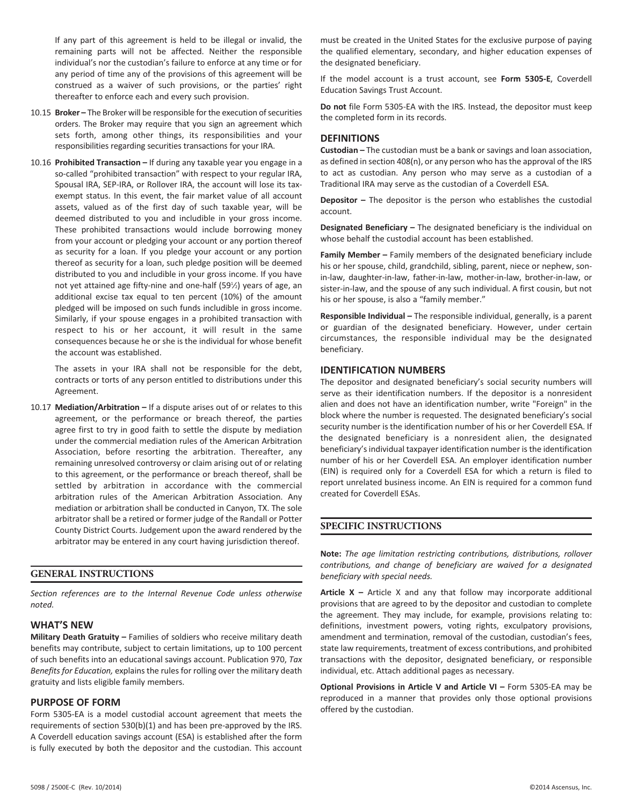If any part of this agreement is held to be illegal or invalid, the remaining parts will not be affected. Neither the responsible individual's nor the custodian's failure to enforce at any time or for any period of time any of the provisions of this agreement will be construed as a waiver of such provisions, or the parties' right thereafter to enforce each and every such provision.

- 10.15 **Broker –** The Broker will be responsible for the execution of securities orders. The Broker may require that you sign an agreement which sets forth, among other things, its responsibilities and your responsibilities regarding securities transactions for your IRA.
- 10.16 **Prohibited Transaction –** If during any taxable year you engage in a so-called "prohibited transaction" with respect to your regular IRA, Spousal IRA, SEP-IRA, or Rollover IRA, the account will lose its taxexempt status. In this event, the fair market value of all account assets, valued as of the first day of such taxable year, will be deemed distributed to you and includible in your gross income. These prohibited transactions would include borrowing money from your account or pledging your account or any portion thereof as security for a loan. If you pledge your account or any portion thereof as security for a loan, such pledge position will be deemed distributed to you and includible in your gross income. If you have not yet attained age fifty-nine and one-half (591⁄2) years of age, an additional excise tax equal to ten percent (10%) of the amount pledged will be imposed on such funds includible in gross income. Similarly, if your spouse engages in a prohibited transaction with respect to his or her account, it will result in the same consequences because he or she is the individual for whose benefit the account was established.

The assets in your IRA shall not be responsible for the debt, contracts or torts of any person entitled to distributions under this Agreement.

10.17 **Mediation/Arbitration –** If a dispute arises out of or relates to this agreement, or the performance or breach thereof, the parties agree first to try in good faith to settle the dispute by mediation under the commercial mediation rules of the American Arbitration Association, before resorting the arbitration. Thereafter, any remaining unresolved controversy or claim arising out of or relating to this agreement, or the performance or breach thereof, shall be settled by arbitration in accordance with the commercial arbitration rules of the American Arbitration Association. Any mediation or arbitration shall be conducted in Canyon, TX. The sole arbitrator shall be a retired or former judge of the Randall or Potter County District Courts. Judgement upon the award rendered by the arbitrator may be entered in any court having jurisdiction thereof.

#### **GENERAL INSTRUCTIONS**

*Section references are to the Internal Revenue Code unless otherwise noted.*

#### **WHAT'S NEW**

**Military Death Gratuity –** Families of soldiers who receive military death benefits may contribute, subject to certain limitations, up to 100 percent of such benefits into an educational savings account. Publication 970, *Tax Benefits for Education,* explains the rules for rolling over the military death gratuity and lists eligible family members.

#### **PURPOSE OF FORM**

Form 5305‐EA is a model custodial account agreement that meets the requirements of section 530(b)(1) and has been pre‐approved by the IRS. A Coverdell education savings account (ESA) is established after the form is fully executed by both the depositor and the custodian. This account

must be created in the United States for the exclusive purpose of paying the qualified elementary, secondary, and higher education expenses of the designated beneficiary.

If the model account is a trust account, see **Form 5305‐E**, Coverdell Education Savings Trust Account.

**Do not** file Form 5305‐EA with the IRS. Instead, the depositor must keep the completed form in its records.

#### **DEFINITIONS**

**Custodian –** The custodian must be a bank or savings and loan association, as defined in section 408(n), or any person who has the approval of the IRS to act as custodian. Any person who may serve as a custodian of a Traditional IRA may serve as the custodian of a Coverdell ESA.

**Depositor –** The depositor is the person who establishes the custodial account.

**Designated Beneficiary –** The designated beneficiary is the individual on whose behalf the custodial account has been established.

**Family Member –** Family members of the designated beneficiary include his or her spouse, child, grandchild, sibling, parent, niece or nephew, sonin‐law, daughter‐in‐law, father‐in‐law, mother‐in‐law, brother‐in‐law, or sister-in-law, and the spouse of any such individual. A first cousin, but not his or her spouse, is also a "family member."

**Responsible Individual –** The responsible individual, generally, is a parent or guardian of the designated beneficiary. However, under certain circumstances, the responsible individual may be the designated beneficiary.

#### **IDENTIFICATION NUMBERS**

The depositor and designated beneficiary's social security numbers will serve as their identification numbers. If the depositor is a nonresident alien and does not have an identification number, write "Foreign" in the block where the number is requested. The designated beneficiary's social security number is the identification number of his or her Coverdell ESA. If the designated beneficiary is a nonresident alien, the designated beneficiary's individual taxpayer identification number is the identification number of his or her Coverdell ESA. An employer identification number (EIN) is required only for a Coverdell ESA for which a return is filed to report unrelated business income. An EIN is required for a common fund created for Coverdell ESAs.

#### **SPECIFIC INSTRUCTIONS**

**Note:** *The age limitation restricting contributions, distributions, rollover contributions, and change of beneficiary are waived for a designated beneficiary with special needs.*

**Article X –** Article X and any that follow may incorporate additional provisions that are agreed to by the depositor and custodian to complete the agreement. They may include, for example, provisions relating to: definitions, investment powers, voting rights, exculpatory provisions, amendment and termination, removal of the custodian, custodian's fees, state law requirements, treatment of excess contributions, and prohibited transactions with the depositor, designated beneficiary, or responsible individual, etc. Attach additional pages as necessary.

**Optional Provisions in Article V and Article VI –** Form 5305‐EA may be reproduced in a manner that provides only those optional provisions offered by the custodian.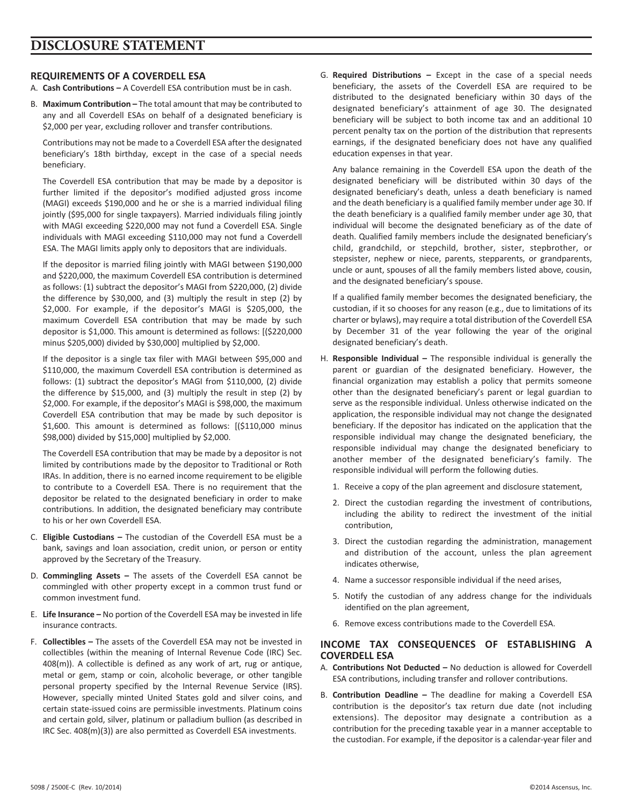# **REQUIREMENTS OF A COVERDELL ESA**

- A. **Cash Contributions –** A Coverdell ESA contribution must be in cash.
- B. **Maximum Contribution –** The total amount that may be contributed to any and all Coverdell ESAs on behalf of a designated beneficiary is \$2,000 per year, excluding rollover and transfer contributions.

Contributions may not be made to a Coverdell ESA after the designated beneficiary's 18th birthday, except in the case of a special needs beneficiary.

The Coverdell ESA contribution that may be made by a depositor is further limited if the depositor's modified adjusted gross income (MAGI) exceeds \$190,000 and he or she is a married individual filing jointly (\$95,000 for single taxpayers). Married individuals filing jointly with MAGI exceeding \$220,000 may not fund a Coverdell ESA. Single individuals with MAGI exceeding \$110,000 may not fund a Coverdell ESA. The MAGI limits apply only to depositors that are individuals.

If the depositor is married filing jointly with MAGI between \$190,000 and \$220,000, the maximum Coverdell ESA contribution is determined as follows: (1) subtract the depositor's MAGI from \$220,000, (2) divide the difference by \$30,000, and (3) multiply the result in step (2) by \$2,000. For example, if the depositor's MAGI is \$205,000, the maximum Coverdell ESA contribution that may be made by such depositor is \$1,000. This amount is determined as follows: [(\$220,000 minus \$205,000) divided by \$30,000] multiplied by \$2,000.

If the depositor is a single tax filer with MAGI between \$95,000 and \$110,000, the maximum Coverdell ESA contribution is determined as follows: (1) subtract the depositor's MAGI from \$110,000, (2) divide the difference by \$15,000, and (3) multiply the result in step (2) by \$2,000. For example, if the depositor's MAGI is \$98,000, the maximum Coverdell ESA contribution that may be made by such depositor is \$1,600. This amount is determined as follows: [(\$110,000 minus \$98,000) divided by \$15,000] multiplied by \$2,000.

The Coverdell ESA contribution that may be made by a depositor is not limited by contributions made by the depositor to Traditional or Roth IRAs. In addition, there is no earned income requirement to be eligible to contribute to a Coverdell ESA. There is no requirement that the depositor be related to the designated beneficiary in order to make contributions. In addition, the designated beneficiary may contribute to his or her own Coverdell ESA.

- C. **Eligible Custodians –** The custodian of the Coverdell ESA must be a bank, savings and loan association, credit union, or person or entity approved by the Secretary of the Treasury.
- D. **Commingling Assets –** The assets of the Coverdell ESA cannot be commingled with other property except in a common trust fund or common investment fund.
- E. **Life Insurance –** No portion of the Coverdell ESA may be invested in life insurance contracts.
- F. **Collectibles –** The assets of the Coverdell ESA may not be invested in collectibles (within the meaning of Internal Revenue Code (IRC) Sec. 408(m)). A collectible is defined as any work of art, rug or antique, metal or gem, stamp or coin, alcoholic beverage, or other tangible personal property specified by the Internal Revenue Service (IRS). However, specially minted United States gold and silver coins, and certain state‐issued coins are permissible investments. Platinum coins and certain gold, silver, platinum or palladium bullion (as described in IRC Sec. 408(m)(3)) are also permitted as Coverdell ESA investments.

G. **Required Distributions –** Except in the case of a special needs beneficiary, the assets of the Coverdell ESA are required to be distributed to the designated beneficiary within 30 days of the designated beneficiary's attainment of age 30. The designated beneficiary will be subject to both income tax and an additional 10 percent penalty tax on the portion of the distribution that represents earnings, if the designated beneficiary does not have any qualified education expenses in that year.

Any balance remaining in the Coverdell ESA upon the death of the designated beneficiary will be distributed within 30 days of the designated beneficiary's death, unless a death beneficiary is named and the death beneficiary is a qualified family member under age 30. If the death beneficiary is a qualified family member under age 30, that individual will become the designated beneficiary as of the date of death. Qualified family members include the designated beneficiary's child, grandchild, or stepchild, brother, sister, stepbrother, or stepsister, nephew or niece, parents, stepparents, or grandparents, uncle or aunt, spouses of all the family members listed above, cousin, and the designated beneficiary's spouse.

If a qualified family member becomes the designated beneficiary, the custodian, if it so chooses for any reason (e.g., due to limitations of its charter or bylaws), may require a total distribution of the Coverdell ESA by December 31 of the year following the year of the original designated beneficiary's death.

- H. **Responsible Individual –** The responsible individual is generally the parent or guardian of the designated beneficiary. However, the financial organization may establish a policy that permits someone other than the designated beneficiary's parent or legal guardian to serve as the responsible individual. Unless otherwise indicated on the application, the responsible individual may not change the designated beneficiary. If the depositor has indicated on the application that the responsible individual may change the designated beneficiary, the responsible individual may change the designated beneficiary to another member of the designated beneficiary's family. The responsible individual will perform the following duties.
	- 1. Receive a copy of the plan agreement and disclosure statement,
	- 2. Direct the custodian regarding the investment of contributions, including the ability to redirect the investment of the initial contribution,
	- 3. Direct the custodian regarding the administration, management and distribution of the account, unless the plan agreement indicates otherwise,
	- 4. Name a successor responsible individual if the need arises,
	- 5. Notify the custodian of any address change for the individuals identified on the plan agreement,
	- 6. Remove excess contributions made to the Coverdell ESA.

# **INCOME TAX CONSEQUENCES OF ESTABLISHING A COVERDELL ESA**

- A. **Contributions Not Deducted –** No deduction is allowed for Coverdell ESA contributions, including transfer and rollover contributions.
- B. **Contribution Deadline –** The deadline for making a Coverdell ESA contribution is the depositor's tax return due date (not including extensions). The depositor may designate a contribution as a contribution for the preceding taxable year in a manner acceptable to the custodian. For example, if the depositor is a calendar‐year filer and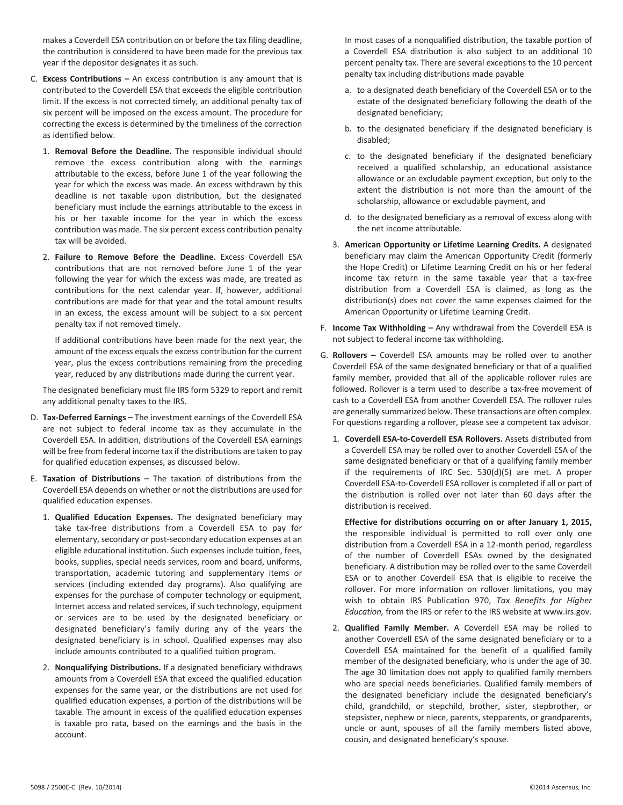makes a Coverdell ESA contribution on or before the tax filing deadline, the contribution is considered to have been made for the previous tax year if the depositor designates it as such.

- C. **Excess Contributions –** An excess contribution is any amount that is contributed to the Coverdell ESA that exceeds the eligible contribution limit. If the excess is not corrected timely, an additional penalty tax of six percent will be imposed on the excess amount. The procedure for correcting the excess is determined by the timeliness of the correction as identified below.
	- 1. **Removal Before the Deadline.** The responsible individual should remove the excess contribution along with the earnings attributable to the excess, before June 1 of the year following the year for which the excess was made. An excess withdrawn by this deadline is not taxable upon distribution, but the designated beneficiary must include the earnings attributable to the excess in his or her taxable income for the year in which the excess contribution was made. The six percent excess contribution penalty tax will be avoided.
	- 2. **Failure to Remove Before the Deadline.** Excess Coverdell ESA contributions that are not removed before June 1 of the year following the year for which the excess was made, are treated as contributions for the next calendar year. If, however, additional contributions are made for that year and the total amount results in an excess, the excess amount will be subject to a six percent penalty tax if not removed timely.

If additional contributions have been made for the next year, the amount of the excess equals the excess contribution for the current year, plus the excess contributions remaining from the preceding year, reduced by any distributions made during the current year.

The designated beneficiary must file IRS form 5329 to report and remit any additional penalty taxes to the IRS.

- D. **Tax‐Deferred Earnings –** The investment earnings of the Coverdell ESA are not subject to federal income tax as they accumulate in the Coverdell ESA. In addition, distributions of the Coverdell ESA earnings will be free from federal income tax if the distributions are taken to pay for qualified education expenses, as discussed below.
- E. **Taxation of Distributions –** The taxation of distributions from the Coverdell ESA depends on whether or not the distributions are used for qualified education expenses.
	- 1. **Qualified Education Expenses.** The designated beneficiary may take tax‐free distributions from a Coverdell ESA to pay for elementary, secondary or post‐secondary education expenses at an eligible educational institution. Such expenses include tuition, fees, books, supplies, special needs services, room and board, uniforms, transportation, academic tutoring and supplementary items or services (including extended day programs). Also qualifying are expenses for the purchase of computer technology or equipment, Internet access and related services, if such technology, equipment or services are to be used by the designated beneficiary or designated beneficiary's family during any of the years the designated beneficiary is in school. Qualified expenses may also include amounts contributed to a qualified tuition program.
	- 2. **Nonqualifying Distributions.** If a designated beneficiary withdraws amounts from a Coverdell ESA that exceed the qualified education expenses for the same year, or the distributions are not used for qualified education expenses, a portion of the distributions will be taxable. The amount in excess of the qualified education expenses is taxable pro rata, based on the earnings and the basis in the account.

In most cases of a nonqualified distribution, the taxable portion of a Coverdell ESA distribution is also subject to an additional 10 percent penalty tax. There are several exceptions to the 10 percent penalty tax including distributions made payable

- a. to a designated death beneficiary of the Coverdell ESA or to the estate of the designated beneficiary following the death of the designated beneficiary;
- b. to the designated beneficiary if the designated beneficiary is disabled;
- c. to the designated beneficiary if the designated beneficiary received a qualified scholarship, an educational assistance allowance or an excludable payment exception, but only to the extent the distribution is not more than the amount of the scholarship, allowance or excludable payment, and
- d. to the designated beneficiary as a removal of excess along with the net income attributable.
- 3. **American Opportunity or Lifetime Learning Credits.** A designated beneficiary may claim the American Opportunity Credit (formerly the Hope Credit) or Lifetime Learning Credit on his or her federal income tax return in the same taxable year that a tax‐free distribution from a Coverdell ESA is claimed, as long as the distribution(s) does not cover the same expenses claimed for the American Opportunity or Lifetime Learning Credit.
- F. **Income Tax Withholding –** Any withdrawal from the Coverdell ESA is not subject to federal income tax withholding.
- G. **Rollovers –** Coverdell ESA amounts may be rolled over to another Coverdell ESA of the same designated beneficiary or that of a qualified family member, provided that all of the applicable rollover rules are followed. Rollover is a term used to describe a tax-free movement of cash to a Coverdell ESA from another Coverdell ESA. The rollover rules are generally summarized below. These transactions are often complex. For questions regarding a rollover, please see a competent tax advisor.
	- 1. **Coverdell ESA‐to‐Coverdell ESA Rollovers.** Assets distributed from a Coverdell ESA may be rolled over to another Coverdell ESA of the same designated beneficiary or that of a qualifying family member if the requirements of IRC Sec. 530(d)(5) are met. A proper Coverdell ESA‐to‐Coverdell ESA rollover is completed if all or part of the distribution is rolled over not later than 60 days after the distribution is received.

**Effective for distributions occurring on or after January 1, 2015,** the responsible individual is permitted to roll over only one distribution from a Coverdell ESA in a 12‐month period, regardless of the number of Coverdell ESAs owned by the designated beneficiary. A distribution may be rolled over to the same Coverdell ESA or to another Coverdell ESA that is eligible to receive the rollover. For more information on rollover limitations, you may wish to obtain IRS Publication 970, *Tax Benefits for Higher Education,* from the IRS or refer to the IRS website at www.irs.gov.

2. **Qualified Family Member.** A Coverdell ESA may be rolled to another Coverdell ESA of the same designated beneficiary or to a Coverdell ESA maintained for the benefit of a qualified family member of the designated beneficiary, who is under the age of 30. The age 30 limitation does not apply to qualified family members who are special needs beneficiaries. Qualified family members of the designated beneficiary include the designated beneficiary's child, grandchild, or stepchild, brother, sister, stepbrother, or stepsister, nephew or niece, parents, stepparents, or grandparents, uncle or aunt, spouses of all the family members listed above, cousin, and designated beneficiary's spouse.